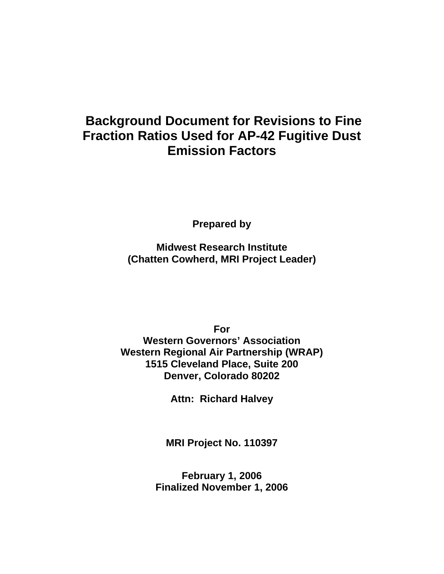# **Background Document for Revisions to Fine Fraction Ratios Used for AP-42 Fugitive Dust Emission Factors**

**Prepared by** 

**Midwest Research Institute (Chatten Cowherd, MRI Project Leader)** 

**For Western Governors' Association Western Regional Air Partnership (WRAP) 1515 Cleveland Place, Suite 200 Denver, Colorado 80202** 

**Attn: Richard Halvey** 

**MRI Project No. 110397** 

**February 1, 2006 Finalized November 1, 2006**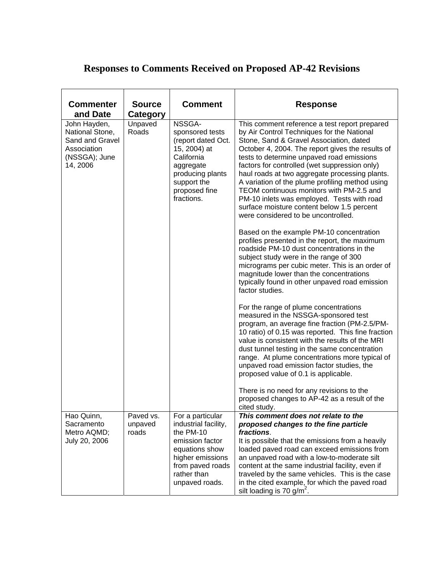## **Responses to Comments Received on Proposed AP-42 Revisions**

| <b>Commenter</b><br>and Date                                                                   | <b>Source</b><br><b>Category</b> | <b>Comment</b>                                                                                                                                                      | <b>Response</b>                                                                                                                                                                                                                                                                                                                                                                                                                                                                                                                                                              |
|------------------------------------------------------------------------------------------------|----------------------------------|---------------------------------------------------------------------------------------------------------------------------------------------------------------------|------------------------------------------------------------------------------------------------------------------------------------------------------------------------------------------------------------------------------------------------------------------------------------------------------------------------------------------------------------------------------------------------------------------------------------------------------------------------------------------------------------------------------------------------------------------------------|
| John Hayden,<br>National Stone,<br>Sand and Gravel<br>Association<br>(NSSGA); June<br>14, 2006 | Unpaved<br>Roads                 | NSSGA-<br>sponsored tests<br>(report dated Oct.<br>15, 2004) at<br>California<br>aggregate<br>producing plants<br>support the<br>proposed fine<br>fractions.        | This comment reference a test report prepared<br>by Air Control Techniques for the National<br>Stone, Sand & Gravel Association, dated<br>October 4, 2004. The report gives the results of<br>tests to determine unpaved road emissions<br>factors for controlled (wet suppression only)<br>haul roads at two aggregate processing plants.<br>A variation of the plume profiling method using<br>TEOM continuous monitors with PM-2.5 and<br>PM-10 inlets was employed. Tests with road<br>surface moisture content below 1.5 percent<br>were considered to be uncontrolled. |
|                                                                                                |                                  |                                                                                                                                                                     | Based on the example PM-10 concentration<br>profiles presented in the report, the maximum<br>roadside PM-10 dust concentrations in the<br>subject study were in the range of 300<br>micrograms per cubic meter. This is an order of<br>magnitude lower than the concentrations<br>typically found in other unpaved road emission<br>factor studies.                                                                                                                                                                                                                          |
|                                                                                                |                                  |                                                                                                                                                                     | For the range of plume concentrations<br>measured in the NSSGA-sponsored test<br>program, an average fine fraction (PM-2.5/PM-<br>10 ratio) of 0.15 was reported. This fine fraction<br>value is consistent with the results of the MRI<br>dust tunnel testing in the same concentration<br>range. At plume concentrations more typical of<br>unpaved road emission factor studies, the<br>proposed value of 0.1 is applicable.                                                                                                                                              |
|                                                                                                |                                  |                                                                                                                                                                     | There is no need for any revisions to the<br>proposed changes to AP-42 as a result of the<br>cited study.                                                                                                                                                                                                                                                                                                                                                                                                                                                                    |
| Hao Quinn,<br>Sacramento<br>Metro AQMD;<br>July 20, 2006                                       | Paved vs.<br>unpaved<br>roads    | For a particular<br>industrial facility,<br>the PM-10<br>emission factor<br>equations show<br>higher emissions<br>from paved roads<br>rather than<br>unpaved roads. | This comment does not relate to the<br>proposed changes to the fine particle<br>fractions.<br>It is possible that the emissions from a heavily<br>loaded paved road can exceed emissions from<br>an unpaved road with a low-to-moderate silt<br>content at the same industrial facility, even if<br>traveled by the same vehicles. This is the case<br>in the cited example, for which the paved road<br>silt loading is 70 g/m <sup>2</sup> .                                                                                                                               |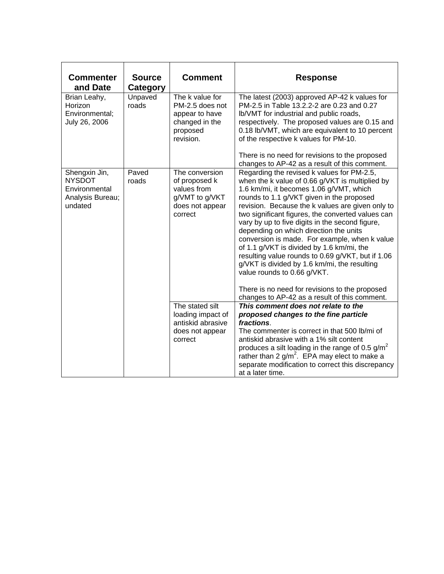| <b>Commenter</b><br>and Date                                                   | <b>Source</b><br><b>Category</b> | <b>Comment</b>                                                                                  | <b>Response</b>                                                                                                                                                                                                                                                                                                                                                                                                                                                                                                                                                                                                                                                                                                                  |
|--------------------------------------------------------------------------------|----------------------------------|-------------------------------------------------------------------------------------------------|----------------------------------------------------------------------------------------------------------------------------------------------------------------------------------------------------------------------------------------------------------------------------------------------------------------------------------------------------------------------------------------------------------------------------------------------------------------------------------------------------------------------------------------------------------------------------------------------------------------------------------------------------------------------------------------------------------------------------------|
| Brian Leahy,<br>Horizon<br>Environmental:<br>July 26, 2006                     | Unpaved<br>roads                 | The k value for<br>PM-2.5 does not<br>appear to have<br>changed in the<br>proposed<br>revision. | The latest (2003) approved AP-42 k values for<br>PM-2.5 in Table 13.2.2-2 are 0.23 and 0.27<br>Ib/VMT for industrial and public roads,<br>respectively. The proposed values are 0.15 and<br>0.18 lb/VMT, which are equivalent to 10 percent<br>of the respective k values for PM-10.<br>There is no need for revisions to the proposed<br>changes to AP-42 as a result of this comment.                                                                                                                                                                                                                                                                                                                                          |
| Shengxin Jin,<br><b>NYSDOT</b><br>Environmental<br>Analysis Bureau;<br>undated | Paved<br>roads                   | The conversion<br>of proposed k<br>values from<br>g/VMT to g/VKT<br>does not appear<br>correct  | Regarding the revised k values for PM-2.5,<br>when the k value of 0.66 g/VKT is multiplied by<br>1.6 km/mi, it becomes 1.06 g/VMT, which<br>rounds to 1.1 g/VKT given in the proposed<br>revision. Because the k values are given only to<br>two significant figures, the converted values can<br>vary by up to five digits in the second figure,<br>depending on which direction the units<br>conversion is made. For example, when k value<br>of 1.1 g/VKT is divided by 1.6 km/mi, the<br>resulting value rounds to 0.69 g/VKT, but if 1.06<br>g/VKT is divided by 1.6 km/mi, the resulting<br>value rounds to 0.66 g/VKT.<br>There is no need for revisions to the proposed<br>changes to AP-42 as a result of this comment. |
|                                                                                |                                  | The stated silt<br>loading impact of<br>antiskid abrasive<br>does not appear<br>correct         | This comment does not relate to the<br>proposed changes to the fine particle<br>fractions.<br>The commenter is correct in that 500 lb/mi of<br>antiskid abrasive with a 1% silt content<br>produces a silt loading in the range of 0.5 $g/m^2$<br>rather than 2 $g/m^2$ . EPA may elect to make a<br>separate modification to correct this discrepancy<br>at a later time.                                                                                                                                                                                                                                                                                                                                                       |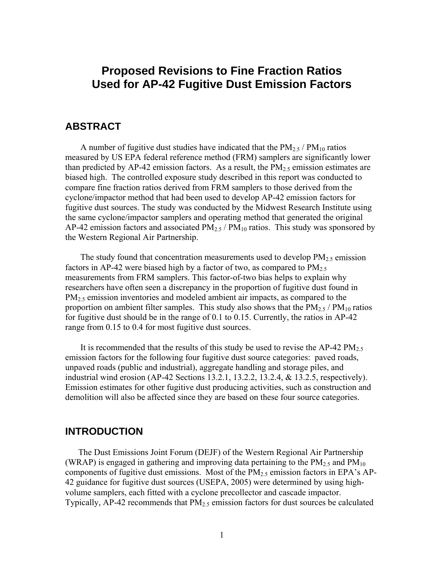## **Proposed Revisions to Fine Fraction Ratios Used for AP-42 Fugitive Dust Emission Factors**

## **ABSTRACT**

A number of fugitive dust studies have indicated that the  $PM_{2.5}$  /  $PM_{10}$  ratios measured by US EPA federal reference method (FRM) samplers are significantly lower than predicted by AP-42 emission factors. As a result, the  $PM<sub>2.5</sub>$  emission estimates are biased high. The controlled exposure study described in this report was conducted to compare fine fraction ratios derived from FRM samplers to those derived from the cyclone/impactor method that had been used to develop AP-42 emission factors for fugitive dust sources. The study was conducted by the Midwest Research Institute using the same cyclone/impactor samplers and operating method that generated the original AP-42 emission factors and associated  $PM_{2.5}$  /  $PM_{10}$  ratios. This study was sponsored by the Western Regional Air Partnership.

The study found that concentration measurements used to develop  $PM_{2.5}$  emission factors in AP-42 were biased high by a factor of two, as compared to  $PM_{2.5}$ measurements from FRM samplers. This factor-of-two bias helps to explain why researchers have often seen a discrepancy in the proportion of fugitive dust found in  $PM<sub>2.5</sub>$  emission inventories and modeled ambient air impacts, as compared to the proportion on ambient filter samples. This study also shows that the  $PM_{2.5}$  /  $PM_{10}$  ratios for fugitive dust should be in the range of 0.1 to 0.15. Currently, the ratios in AP-42 range from 0.15 to 0.4 for most fugitive dust sources.

It is recommended that the results of this study be used to revise the AP-42  $PM_{2.5}$ emission factors for the following four fugitive dust source categories: paved roads, unpaved roads (public and industrial), aggregate handling and storage piles, and industrial wind erosion (AP-42 Sections 13.2.1, 13.2.2, 13.2.4, & 13.2.5, respectively). Emission estimates for other fugitive dust producing activities, such as construction and demolition will also be affected since they are based on these four source categories.

## **INTRODUCTION**

The Dust Emissions Joint Forum (DEJF) of the Western Regional Air Partnership (WRAP) is engaged in gathering and improving data pertaining to the  $PM_{2.5}$  and  $PM_{10}$ components of fugitive dust emissions. Most of the PM2.5 emission factors in EPA's AP-42 guidance for fugitive dust sources (USEPA, 2005) were determined by using highvolume samplers, each fitted with a cyclone precollector and cascade impactor. Typically, AP-42 recommends that  $PM<sub>2.5</sub>$  emission factors for dust sources be calculated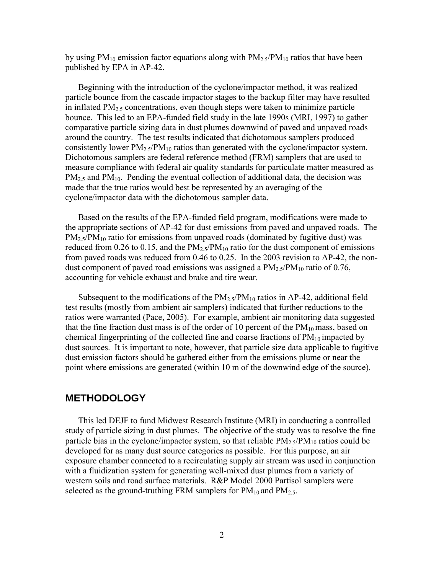by using  $PM_{10}$  emission factor equations along with  $PM_{2.5}/PM_{10}$  ratios that have been published by EPA in AP-42.

Beginning with the introduction of the cyclone/impactor method, it was realized particle bounce from the cascade impactor stages to the backup filter may have resulted in inflated  $PM<sub>2.5</sub>$  concentrations, even though steps were taken to minimize particle bounce. This led to an EPA-funded field study in the late 1990s (MRI, 1997) to gather comparative particle sizing data in dust plumes downwind of paved and unpaved roads around the country. The test results indicated that dichotomous samplers produced consistently lower  $PM_{2.5}/PM_{10}$  ratios than generated with the cyclone/impactor system. Dichotomous samplers are federal reference method (FRM) samplers that are used to measure compliance with federal air quality standards for particulate matter measured as  $PM<sub>2</sub>$  and PM<sub>10</sub>. Pending the eventual collection of additional data, the decision was made that the true ratios would best be represented by an averaging of the cyclone/impactor data with the dichotomous sampler data.

Based on the results of the EPA-funded field program, modifications were made to the appropriate sections of AP-42 for dust emissions from paved and unpaved roads. The  $PM_{2.5}/PM_{10}$  ratio for emissions from unpaved roads (dominated by fugitive dust) was reduced from 0.26 to 0.15, and the  $PM_{2.5}/PM_{10}$  ratio for the dust component of emissions from paved roads was reduced from 0.46 to 0.25. In the 2003 revision to AP-42, the nondust component of paved road emissions was assigned a  $PM_2$ ,  $\gamma PM_{10}$  ratio of 0.76, accounting for vehicle exhaust and brake and tire wear.

Subsequent to the modifications of the  $PM_{2.5}/PM_{10}$  ratios in AP-42, additional field test results (mostly from ambient air samplers) indicated that further reductions to the ratios were warranted (Pace, 2005). For example, ambient air monitoring data suggested that the fine fraction dust mass is of the order of 10 percent of the  $PM_{10}$  mass, based on chemical fingerprinting of the collected fine and coarse fractions of  $PM_{10}$  impacted by dust sources. It is important to note, however, that particle size data applicable to fugitive dust emission factors should be gathered either from the emissions plume or near the point where emissions are generated (within 10 m of the downwind edge of the source).

## **METHODOLOGY**

This led DEJF to fund Midwest Research Institute (MRI) in conducting a controlled study of particle sizing in dust plumes. The objective of the study was to resolve the fine particle bias in the cyclone/impactor system, so that reliable  $PM_2$ ,  $\gamma PM_{10}$  ratios could be developed for as many dust source categories as possible. For this purpose, an air exposure chamber connected to a recirculating supply air stream was used in conjunction with a fluidization system for generating well-mixed dust plumes from a variety of western soils and road surface materials. R&P Model 2000 Partisol samplers were selected as the ground-truthing FRM samplers for  $PM_{10}$  and  $PM_{2.5}$ .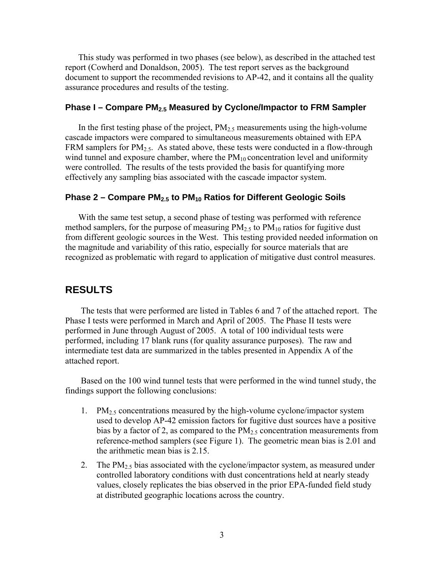This study was performed in two phases (see below), as described in the attached test report (Cowherd and Donaldson, 2005). The test report serves as the background document to support the recommended revisions to AP-42, and it contains all the quality assurance procedures and results of the testing.

### **Phase I – Compare PM2.5 Measured by Cyclone/Impactor to FRM Sampler**

In the first testing phase of the project,  $PM_{2.5}$  measurements using the high-volume cascade impactors were compared to simultaneous measurements obtained with EPA FRM samplers for  $PM_{2.5}$ . As stated above, these tests were conducted in a flow-through wind tunnel and exposure chamber, where the  $PM_{10}$  concentration level and uniformity were controlled. The results of the tests provided the basis for quantifying more effectively any sampling bias associated with the cascade impactor system.

#### **Phase 2 – Compare PM<sub>2.5</sub> to PM<sub>10</sub> Ratios for Different Geologic Soils**

With the same test setup, a second phase of testing was performed with reference method samplers, for the purpose of measuring  $PM_{2.5}$  to  $PM_{10}$  ratios for fugitive dust from different geologic sources in the West. This testing provided needed information on the magnitude and variability of this ratio, especially for source materials that are recognized as problematic with regard to application of mitigative dust control measures.

## **RESULTS**

The tests that were performed are listed in Tables 6 and 7 of the attached report. The Phase I tests were performed in March and April of 2005. The Phase II tests were performed in June through August of 2005. A total of 100 individual tests were performed, including 17 blank runs (for quality assurance purposes). The raw and intermediate test data are summarized in the tables presented in Appendix A of the attached report.

Based on the 100 wind tunnel tests that were performed in the wind tunnel study, the findings support the following conclusions:

- 1. PM<sub>2.5</sub> concentrations measured by the high-volume cyclone/impactor system used to develop AP-42 emission factors for fugitive dust sources have a positive bias by a factor of 2, as compared to the  $PM<sub>2.5</sub>$  concentration measurements from reference-method samplers (see Figure 1). The geometric mean bias is 2.01 and the arithmetic mean bias is 2.15.
- 2. The  $PM_{2.5}$  bias associated with the cyclone/impactor system, as measured under controlled laboratory conditions with dust concentrations held at nearly steady values, closely replicates the bias observed in the prior EPA-funded field study at distributed geographic locations across the country.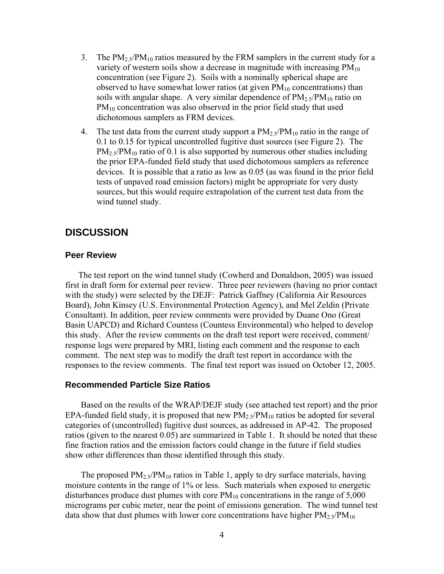- 3. The  $PM_{2.5}/PM_{10}$  ratios measured by the FRM samplers in the current study for a variety of western soils show a decrease in magnitude with increasing  $PM_{10}$ concentration (see Figure 2). Soils with a nominally spherical shape are observed to have somewhat lower ratios (at given  $PM_{10}$  concentrations) than soils with angular shape. A very similar dependence of  $PM_{2.5}/PM_{10}$  ratio on PM<sub>10</sub> concentration was also observed in the prior field study that used dichotomous samplers as FRM devices.
- 4. The test data from the current study support a  $PM_{2.5}/PM_{10}$  ratio in the range of 0.1 to 0.15 for typical uncontrolled fugitive dust sources (see Figure 2). The  $PM_{2.5}/PM_{10}$  ratio of 0.1 is also supported by numerous other studies including the prior EPA-funded field study that used dichotomous samplers as reference devices. It is possible that a ratio as low as 0.05 (as was found in the prior field tests of unpaved road emission factors) might be appropriate for very dusty sources, but this would require extrapolation of the current test data from the wind tunnel study.

## **DISCUSSION**

#### **Peer Review**

The test report on the wind tunnel study (Cowherd and Donaldson, 2005) was issued first in draft form for external peer review. Three peer reviewers (having no prior contact with the study) were selected by the DEJF: Patrick Gaffney (California Air Resources Board), John Kinsey (U.S. Environmental Protection Agency), and Mel Zeldin (Private Consultant). In addition, peer review comments were provided by Duane Ono (Great Basin UAPCD) and Richard Countess (Countess Environmental) who helped to develop this study. After the review comments on the draft test report were received, comment/ response logs were prepared by MRI, listing each comment and the response to each comment. The next step was to modify the draft test report in accordance with the responses to the review comments. The final test report was issued on October 12, 2005.

#### **Recommended Particle Size Ratios**

Based on the results of the WRAP/DEJF study (see attached test report) and the prior EPA-funded field study, it is proposed that new  $PM<sub>2.5</sub>/PM<sub>10</sub>$  ratios be adopted for several categories of (uncontrolled) fugitive dust sources, as addressed in AP-42. The proposed ratios (given to the nearest 0.05) are summarized in Table 1. It should be noted that these fine fraction ratios and the emission factors could change in the future if field studies show other differences than those identified through this study.

The proposed  $PM_{2.5}/PM_{10}$  ratios in Table 1, apply to dry surface materials, having moisture contents in the range of 1% or less. Such materials when exposed to energetic disturbances produce dust plumes with core  $PM_{10}$  concentrations in the range of 5,000 micrograms per cubic meter, near the point of emissions generation. The wind tunnel test data show that dust plumes with lower core concentrations have higher  $PM_{2.5}/PM_{10}$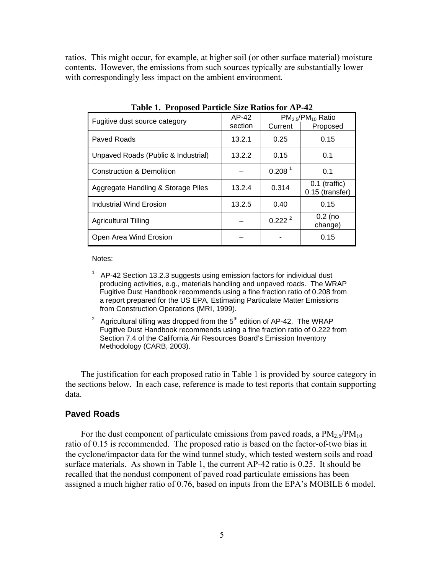ratios. This might occur, for example, at higher soil (or other surface material) moisture contents. However, the emissions from such sources typically are substantially lower with correspondingly less impact on the ambient environment.

| Fugitive dust source category       | AP-42   | $PM2.5/PM10$ Ratio |                                    |
|-------------------------------------|---------|--------------------|------------------------------------|
|                                     | section | Current            | Proposed                           |
| Paved Roads                         | 13.2.1  | 0.25               | 0.15                               |
| Unpaved Roads (Public & Industrial) | 13.2.2  | 0.15               | 0.1                                |
| Construction & Demolition           |         | 0.208 <sup>1</sup> | 0.1                                |
| Aggregate Handling & Storage Piles  | 13.2.4  | 0.314              | $0.1$ (traffic)<br>0.15 (transfer) |
| Industrial Wind Erosion             | 13.2.5  | 0.40               | 0.15                               |
| <b>Agricultural Tilling</b>         |         | $0.222^{2}$        | $0.2$ (no<br>change)               |
| Open Area Wind Erosion              |         |                    | 0.15                               |

**Table 1. Proposed Particle Size Ratios for AP-42** 

Notes:

- <sup>1</sup> AP-42 Section 13.2.3 suggests using emission factors for individual dust producing activities, e.g., materials handling and unpaved roads. The WRAP Fugitive Dust Handbook recommends using a fine fraction ratio of 0.208 from a report prepared for the US EPA, Estimating Particulate Matter Emissions from Construction Operations (MRI, 1999).
- <sup>2</sup> Agricultural tilling was dropped from the  $5<sup>th</sup>$  edition of AP-42. The WRAP Fugitive Dust Handbook recommends using a fine fraction ratio of 0.222 from Section 7.4 of the California Air Resources Board's Emission Inventory Methodology (CARB, 2003).

The justification for each proposed ratio in Table 1 is provided by source category in the sections below. In each case, reference is made to test reports that contain supporting data.

#### **Paved Roads**

For the dust component of particulate emissions from paved roads, a  $PM_{2.5}/PM_{10}$ ratio of 0.15 is recommended. The proposed ratio is based on the factor-of-two bias in the cyclone/impactor data for the wind tunnel study, which tested western soils and road surface materials. As shown in Table 1, the current AP-42 ratio is 0.25. It should be recalled that the nondust component of paved road particulate emissions has been assigned a much higher ratio of 0.76, based on inputs from the EPA's MOBILE 6 model.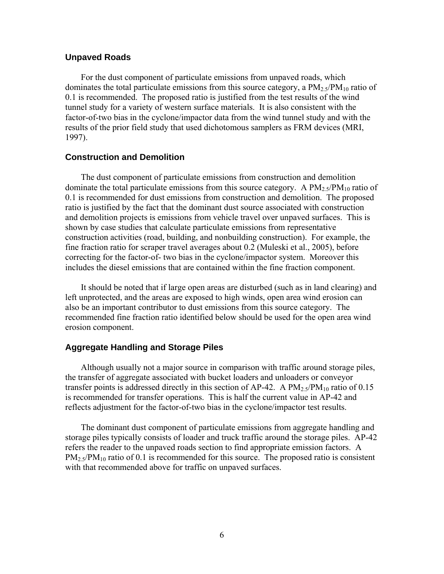#### **Unpaved Roads**

For the dust component of particulate emissions from unpaved roads, which dominates the total particulate emissions from this source category, a  $PM_2s/PM_{10}$  ratio of 0.1 is recommended. The proposed ratio is justified from the test results of the wind tunnel study for a variety of western surface materials. It is also consistent with the factor-of-two bias in the cyclone/impactor data from the wind tunnel study and with the results of the prior field study that used dichotomous samplers as FRM devices (MRI, 1997).

#### **Construction and Demolition**

The dust component of particulate emissions from construction and demolition dominate the total particulate emissions from this source category. A  $PM_2 s/PM_{10}$  ratio of 0.1 is recommended for dust emissions from construction and demolition. The proposed ratio is justified by the fact that the dominant dust source associated with construction and demolition projects is emissions from vehicle travel over unpaved surfaces. This is shown by case studies that calculate particulate emissions from representative construction activities (road, building, and nonbuilding construction). For example, the fine fraction ratio for scraper travel averages about 0.2 (Muleski et al., 2005), before correcting for the factor-of- two bias in the cyclone/impactor system. Moreover this includes the diesel emissions that are contained within the fine fraction component.

It should be noted that if large open areas are disturbed (such as in land clearing) and left unprotected, and the areas are exposed to high winds, open area wind erosion can also be an important contributor to dust emissions from this source category. The recommended fine fraction ratio identified below should be used for the open area wind erosion component.

### **Aggregate Handling and Storage Piles**

Although usually not a major source in comparison with traffic around storage piles, the transfer of aggregate associated with bucket loaders and unloaders or conveyor transfer points is addressed directly in this section of AP-42. A  $PM_2 \triangleleft PM_{10}$  ratio of 0.15 is recommended for transfer operations. This is half the current value in AP-42 and reflects adjustment for the factor-of-two bias in the cyclone/impactor test results.

The dominant dust component of particulate emissions from aggregate handling and storage piles typically consists of loader and truck traffic around the storage piles. AP-42 refers the reader to the unpaved roads section to find appropriate emission factors. A  $PM_{2.5}/PM_{10}$  ratio of 0.1 is recommended for this source. The proposed ratio is consistent with that recommended above for traffic on unpaved surfaces.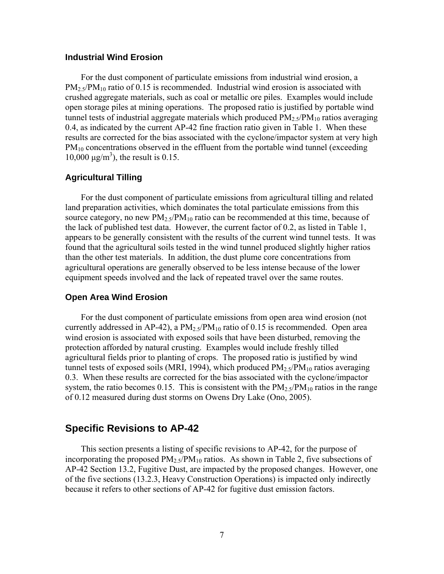#### **Industrial Wind Erosion**

For the dust component of particulate emissions from industrial wind erosion, a  $PM_2$ ,  $\gamma$ PM<sub>10</sub> ratio of 0.15 is recommended. Industrial wind erosion is associated with crushed aggregate materials, such as coal or metallic ore piles. Examples would include open storage piles at mining operations. The proposed ratio is justified by portable wind tunnel tests of industrial aggregate materials which produced  $PM_2 s/PM_{10}$  ratios averaging 0.4, as indicated by the current AP-42 fine fraction ratio given in Table 1. When these results are corrected for the bias associated with the cyclone/impactor system at very high  $PM_{10}$  concentrations observed in the effluent from the portable wind tunnel (exceeding  $10,000 \text{ µg/m}^3$ , the result is 0.15.

#### **Agricultural Tilling**

For the dust component of particulate emissions from agricultural tilling and related land preparation activities, which dominates the total particulate emissions from this source category, no new  $PM_2 s/PM_{10}$  ratio can be recommended at this time, because of the lack of published test data. However, the current factor of 0.2, as listed in Table 1, appears to be generally consistent with the results of the current wind tunnel tests. It was found that the agricultural soils tested in the wind tunnel produced slightly higher ratios than the other test materials. In addition, the dust plume core concentrations from agricultural operations are generally observed to be less intense because of the lower equipment speeds involved and the lack of repeated travel over the same routes.

#### **Open Area Wind Erosion**

For the dust component of particulate emissions from open area wind erosion (not currently addressed in AP-42), a  $PM_{2.5}/PM_{10}$  ratio of 0.15 is recommended. Open area wind erosion is associated with exposed soils that have been disturbed, removing the protection afforded by natural crusting. Examples would include freshly tilled agricultural fields prior to planting of crops. The proposed ratio is justified by wind tunnel tests of exposed soils (MRI, 1994), which produced  $PM_{2.5}/PM_{10}$  ratios averaging 0.3. When these results are corrected for the bias associated with the cyclone/impactor system, the ratio becomes 0.15. This is consistent with the  $PM<sub>2.5</sub>/PM<sub>10</sub>$  ratios in the range of 0.12 measured during dust storms on Owens Dry Lake (Ono, 2005).

## **Specific Revisions to AP-42**

This section presents a listing of specific revisions to AP-42, for the purpose of incorporating the proposed  $PM_2$ ,  $\gamma PM_{10}$  ratios. As shown in Table 2, five subsections of AP-42 Section 13.2, Fugitive Dust, are impacted by the proposed changes. However, one of the five sections (13.2.3, Heavy Construction Operations) is impacted only indirectly because it refers to other sections of AP-42 for fugitive dust emission factors.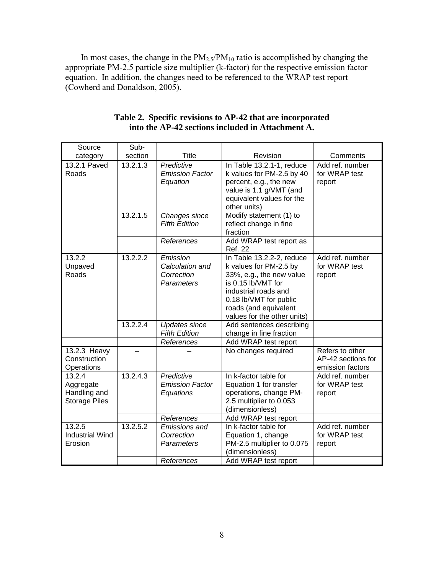In most cases, the change in the  $PM_{2.5}/PM_{10}$  ratio is accomplished by changing the appropriate PM-2.5 particle size multiplier (k-factor) for the respective emission factor equation. In addition, the changes need to be referenced to the WRAP test report (Cowherd and Donaldson, 2005).

| Source                                                      | Sub-     |                                                                 |                                                                                                                                                                                                                 |                                                           |
|-------------------------------------------------------------|----------|-----------------------------------------------------------------|-----------------------------------------------------------------------------------------------------------------------------------------------------------------------------------------------------------------|-----------------------------------------------------------|
| category                                                    | section  | <b>Title</b>                                                    | Revision                                                                                                                                                                                                        | Comments                                                  |
| 13.2.1 Paved<br>Roads                                       | 13.2.1.3 | Predictive<br><b>Emission Factor</b><br>Equation                | In Table 13.2.1-1, reduce<br>k values for PM-2.5 by 40<br>percent, e.g., the new<br>value is 1.1 g/VMT (and<br>equivalent values for the<br>other units)                                                        | Add ref. number<br>for WRAP test<br>report                |
|                                                             | 13.2.1.5 | Changes since<br><b>Fifth Edition</b>                           | Modify statement (1) to<br>reflect change in fine<br>fraction                                                                                                                                                   |                                                           |
|                                                             |          | References                                                      | Add WRAP test report as<br><b>Ref. 22</b>                                                                                                                                                                       |                                                           |
| 13.2.2<br>Unpaved<br>Roads                                  | 13.2.2.2 | Emission<br>Calculation and<br>Correction<br>Parameters         | In Table 13.2.2-2, reduce<br>k values for PM-2.5 by<br>33%, e.g., the new value<br>is 0.15 lb/VMT for<br>industrial roads and<br>0.18 lb/VMT for public<br>roads (and equivalent<br>values for the other units) | Add ref. number<br>for WRAP test<br>report                |
| 13.2.2.4                                                    |          | <b>Updates since</b><br><b>Fifth Edition</b>                    | Add sentences describing<br>change in fine fraction                                                                                                                                                             |                                                           |
|                                                             |          | References                                                      | Add WRAP test report                                                                                                                                                                                            |                                                           |
| 13.2.3 Heavy<br>Construction<br>Operations                  |          |                                                                 | No changes required                                                                                                                                                                                             | Refers to other<br>AP-42 sections for<br>emission factors |
| 13.2.4<br>Aggregate<br>Handling and<br><b>Storage Piles</b> | 13.2.4.3 | Predictive<br><b>Emission Factor</b><br>Equations<br>References | In k-factor table for<br>Equation 1 for transfer<br>operations, change PM-<br>2.5 multiplier to 0.053<br>(dimensionless)<br>Add WRAP test report                                                                | Add ref. number<br>for WRAP test<br>report                |
| 13.2.5                                                      | 13.2.5.2 | Emissions and                                                   | In k-factor table for                                                                                                                                                                                           | Add ref. number                                           |
| <b>Industrial Wind</b><br>Erosion                           |          | Correction<br>Parameters                                        | Equation 1, change<br>PM-2.5 multiplier to 0.075<br>(dimensionless)                                                                                                                                             | for WRAP test<br>report                                   |
|                                                             |          | References                                                      | Add WRAP test report                                                                                                                                                                                            |                                                           |

| Table 2. Specific revisions to AP-42 that are incorporated |  |  |
|------------------------------------------------------------|--|--|
| into the AP-42 sections included in Attachment A.          |  |  |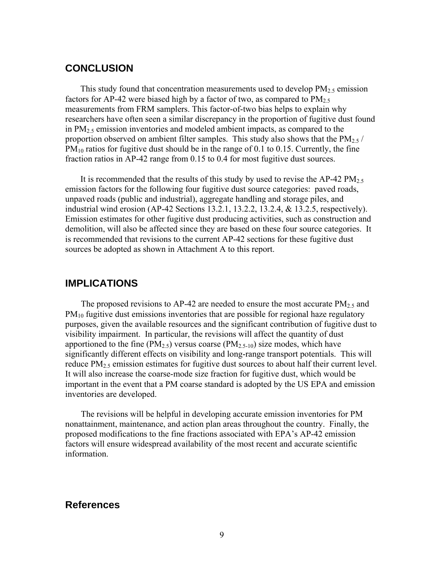## **CONCLUSION**

This study found that concentration measurements used to develop  $PM_2$ , emission factors for AP-42 were biased high by a factor of two, as compared to  $PM_{2.5}$ measurements from FRM samplers. This factor-of-two bias helps to explain why researchers have often seen a similar discrepancy in the proportion of fugitive dust found in  $PM<sub>2.5</sub>$  emission inventories and modeled ambient impacts, as compared to the proportion observed on ambient filter samples. This study also shows that the  $PM_{2.5}$ /  $PM_{10}$  ratios for fugitive dust should be in the range of 0.1 to 0.15. Currently, the fine fraction ratios in AP-42 range from 0.15 to 0.4 for most fugitive dust sources.

It is recommended that the results of this study by used to revise the AP-42  $PM_{2.5}$ emission factors for the following four fugitive dust source categories: paved roads, unpaved roads (public and industrial), aggregate handling and storage piles, and industrial wind erosion (AP-42 Sections 13.2.1, 13.2.2, 13.2.4, & 13.2.5, respectively). Emission estimates for other fugitive dust producing activities, such as construction and demolition, will also be affected since they are based on these four source categories. It is recommended that revisions to the current AP-42 sections for these fugitive dust sources be adopted as shown in Attachment A to this report.

## **IMPLICATIONS**

The proposed revisions to AP-42 are needed to ensure the most accurate  $PM_{2.5}$  and  $PM_{10}$  fugitive dust emissions inventories that are possible for regional haze regulatory purposes, given the available resources and the significant contribution of fugitive dust to visibility impairment. In particular, the revisions will affect the quantity of dust apportioned to the fine ( $PM_{2.5}$ ) versus coarse ( $PM_{2.5-10}$ ) size modes, which have significantly different effects on visibility and long-range transport potentials. This will reduce  $PM<sub>2.5</sub>$  emission estimates for fugitive dust sources to about half their current level. It will also increase the coarse-mode size fraction for fugitive dust, which would be important in the event that a PM coarse standard is adopted by the US EPA and emission inventories are developed.

The revisions will be helpful in developing accurate emission inventories for PM nonattainment, maintenance, and action plan areas throughout the country. Finally, the proposed modifications to the fine fractions associated with EPA's AP-42 emission factors will ensure widespread availability of the most recent and accurate scientific information.

## **References**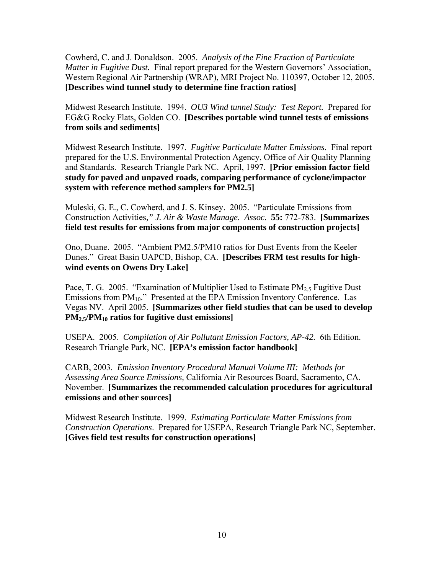Cowherd, C. and J. Donaldson. 2005. *Analysis of the Fine Fraction of Particulate Matter in Fugitive Dust.* Final report prepared for the Western Governors' Association, Western Regional Air Partnership (WRAP), MRI Project No. 110397, October 12, 2005. **[Describes wind tunnel study to determine fine fraction ratios]**

Midwest Research Institute. 1994. *OU3 Wind tunnel Study: Test Report.* Prepared for EG&G Rocky Flats, Golden CO. **[Describes portable wind tunnel tests of emissions from soils and sediments]** 

Midwest Research Institute. 1997. *Fugitive Particulate Matter Emissions*. Final report prepared for the U.S. Environmental Protection Agency, Office of Air Quality Planning and Standards. Research Triangle Park NC. April, 1997. **[Prior emission factor field study for paved and unpaved roads, comparing performance of cyclone/impactor system with reference method samplers for PM2.5]** 

Muleski, G. E., C. Cowherd, and J. S. Kinsey. 2005. "Particulate Emissions from Construction Activities*," J. Air & Waste Manage. Assoc.* **55:** 772-783. **[Summarizes field test results for emissions from major components of construction projects]**

Ono, Duane. 2005. "Ambient PM2.5/PM10 ratios for Dust Events from the Keeler Dunes." Great Basin UAPCD, Bishop, CA. **[Describes FRM test results for highwind events on Owens Dry Lake]** 

Pace, T. G. 2005. "Examination of Multiplier Used to Estimate  $PM_{2.5}$  Fugitive Dust Emissions from  $PM_{10}$ ." Presented at the EPA Emission Inventory Conference. Las Vegas NV. April 2005. **[Summarizes other field studies that can be used to develop PM2.5/PM10 ratios for fugitive dust emissions]** 

USEPA. 2005. *Compilation of Air Pollutant Emission Factors, AP-42.* 6th Edition. Research Triangle Park, NC. **[EPA's emission factor handbook]** 

CARB, 2003. *Emission Inventory Procedural Manual Volume III: Methods for Assessing Area Source Emissions,* California Air Resources Board, Sacramento, CA. November. **[Summarizes the recommended calculation procedures for agricultural emissions and other sources]** 

Midwest Research Institute. 1999. *Estimating Particulate Matter Emissions from Construction Operations*. Prepared for USEPA, Research Triangle Park NC, September. **[Gives field test results for construction operations]**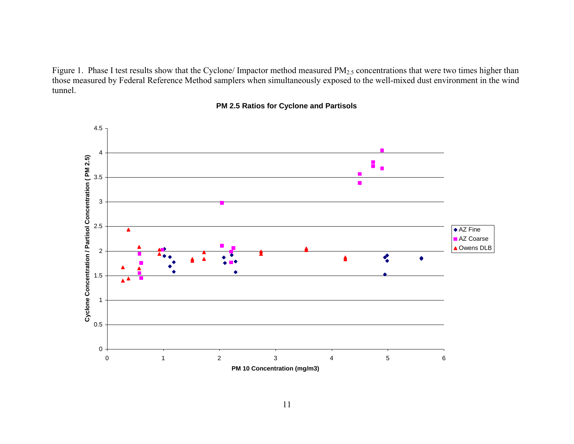Figure 1. Phase I test results show that the Cyclone/ Impactor method measured PM<sub>2.5</sub> concentrations that were two times higher than those measured by Federal Reference Method samplers when simultaneously exposed to the well-mixed dust environment in the wind tunnel.



#### **PM 2.5 Ratios for Cyclone and Partisols**